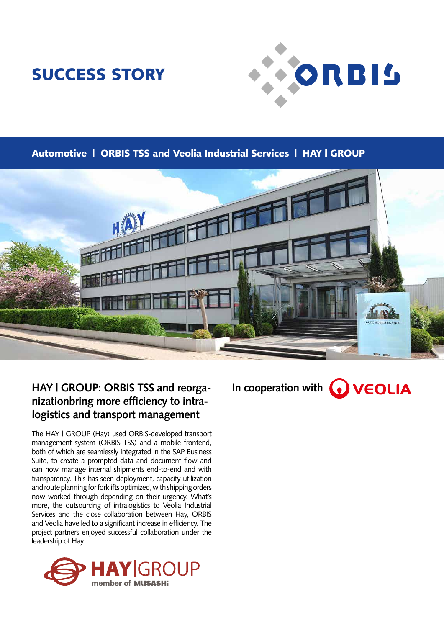# SUCCESS STORY



### Automotive | ORBIS TSS and Veolia Industrial Services | HAY l GROUP



### **HAY | GROUP: ORBIS TSS and reorganizationbring more efficiency to intralogistics and transport management**

The HAY | GROUP (Hay) used ORBIS-developed transport management system (ORBIS TSS) and a mobile frontend, both of which are seamlessly integrated in the SAP Business Suite, to create a prompted data and document flow and can now manage internal shipments end-to-end and with transparency. This has seen deployment, capacity utilization and route planning for forklifts optimized, with shipping orders now worked through depending on their urgency. What's more, the outsourcing of intralogistics to Veolia Industrial Services and the close collaboration between Hay, ORBIS and Veolia have led to a significant increase in efficiency. The project partners enjoyed successful collaboration under the leadership of Hay.



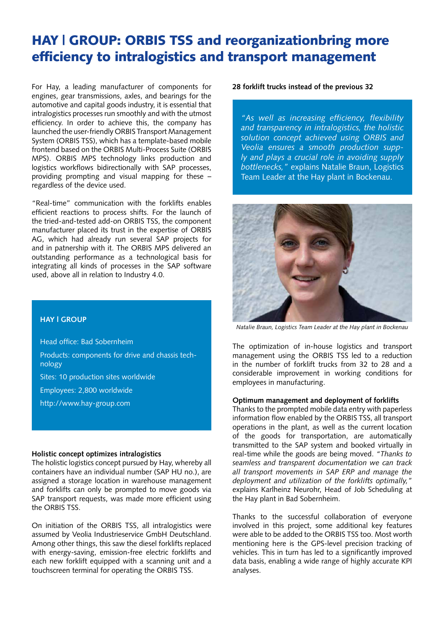## HAY | GROUP: ORBIS TSS and reorganizationbring more efficiency to intralogistics and transport management

For Hay, a leading manufacturer of components for engines, gear transmissions, axles, and bearings for the automotive and capital goods industry, it is essential that intralogistics processes run smoothly and with the utmost efficiency. In order to achieve this, the company has launched the user-friendly ORBIS Transport Management System (ORBIS TSS), which has a template-based mobile frontend based on the ORBIS Multi-Process Suite (ORBIS MPS). ORBIS MPS technology links production and logistics workflows bidirectionally with SAP processes, providing prompting and visual mapping for these – regardless of the device used.

"Real-time" communication with the forklifts enables efficient reactions to process shifts. For the launch of the tried-and-tested add-on ORBIS TSS, the component manufacturer placed its trust in the expertise of ORBIS AG, which had already run several SAP projects for and in patnership with it. The ORBIS MPS delivered an outstanding performance as a technological basis for integrating all kinds of processes in the SAP software used, above all in relation to Industry 4.0.

**28 forklift trucks instead of the previous 32**

*"As well as increasing efficiency, flexibility and transparency in intralogistics, the holistic solution concept achieved using ORBIS and Veolia ensures a smooth production supply and plays a crucial role in avoiding supply bottlenecks,"* explains Natalie Braun, Logistics Team Leader at the Hay plant in Bockenau.

*Natalie Braun, Logistics Team Leader at the Hay plant in Bockenau*

The optimization of in-house logistics and transport management using the ORBIS TSS led to a reduction in the number of forklift trucks from 32 to 28 and a considerable improvement in working conditions for employees in manufacturing.

#### **Optimum management and deployment of forklifts**

Thanks to the prompted mobile data entry with paperless information flow enabled by the ORBIS TSS, all transport operations in the plant, as well as the current location of the goods for transportation, are automatically transmitted to the SAP system and booked virtually in real-time while the goods are being moved. *"Thanks to seamless and transparent documentation we can track all transport movements in SAP ERP and manage the deployment and utilization of the forklifts optimally,"*  explains Karlheinz Neurohr, Head of Job Scheduling at the Hay plant in Bad Sobernheim.

Thanks to the successful collaboration of everyone involved in this project, some additional key features were able to be added to the ORBIS TSS too. Most worth mentioning here is the GPS-level precision tracking of vehicles. This in turn has led to a significantly improved data basis, enabling a wide range of highly accurate KPI analyses.

#### **HAY l GROUP**

Head office: Bad Sobernheim

- Products: components for drive and chassis technology
- Sites: 10 production sites worldwide
- Employees: 2,800 worldwide
- http://www.hay-group.com

#### **Holistic concept optimizes intralogistics**

The holistic logistics concept pursued by Hay, whereby all containers have an individual number (SAP HU no.), are assigned a storage location in warehouse management and forklifts can only be prompted to move goods via SAP transport requests, was made more efficient using the ORBIS TSS.

On initiation of the ORBIS TSS, all intralogistics were assumed by Veolia Industrieservice GmbH Deutschland. Among other things, this saw the diesel forklifts replaced with energy-saving, emission-free electric forklifts and each new forklift equipped with a scanning unit and a touchscreen terminal for operating the ORBIS TSS.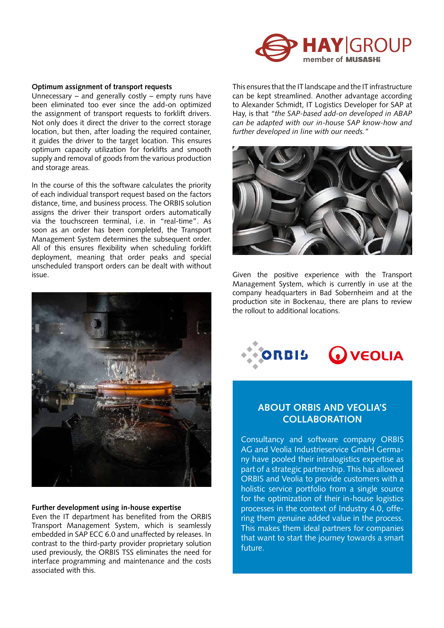

#### **Optimum assignment of transport requests**

Unnecessary – and generally costly – empty runs have been eliminated too ever since the add-on optimized the assignment of transport requests to forklift drivers. Not only does it direct the driver to the correct storage location, but then, after loading the required container, it guides the driver to the target location. This ensures optimum capacity utilization for forklifts and smooth supply and removal of goods from the various production and storage areas.

In the course of this the software calculates the priority of each individual transport request based on the factors distance, time, and business process. The ORBIS solution assigns the driver their transport orders automatically via the touchscreen terminal, i.e. in "real-time". As soon as an order has been completed, the Transport Management System determines the subsequent order. All of this ensures flexibility when scheduling forklift deployment, meaning that order peaks and special unscheduled transport orders can be dealt with without issue.



#### **Further development using in-house expertise**

Even the IT department has benefited from the ORBIS Transport Management System, which is seamlessly embedded in SAP ECC 6.0 and unaffected by releases. In contrast to the third-party provider proprietary solution used previously, the ORBIS TSS eliminates the need for interface programming and maintenance and the costs associated with this.

This ensures that the IT landscape and the IT infrastructure can be kept streamlined. Another advantage according to Alexander Schmidt, IT Logistics Developer for SAP at Hay, is that *"the SAP-based add-on developed in ABAP can be adapted with our in-house SAP know-how and further developed in line with our needs."*



Given the positive experience with the Transport Management System, which is currently in use at the company headquarters in Bad Sobernheim and at the production site in Bockenau, there are plans to review the rollout to additional locations.



### **ABOUT ORBIS AND VEOLIA'S COLLABORATION**

Consultancy and software company ORBIS AG and Veolia Industrieservice GmbH Germany have pooled their intralogistics expertise as part of a strategic partnership. This has allowed ORBIS and Veolia to provide customers with a holistic service portfolio from a single source for the optimization of their in-house logistics processes in the context of Industry 4.0, offering them genuine added value in the process. This makes them ideal partners for companies that want to start the journey towards a smart future.